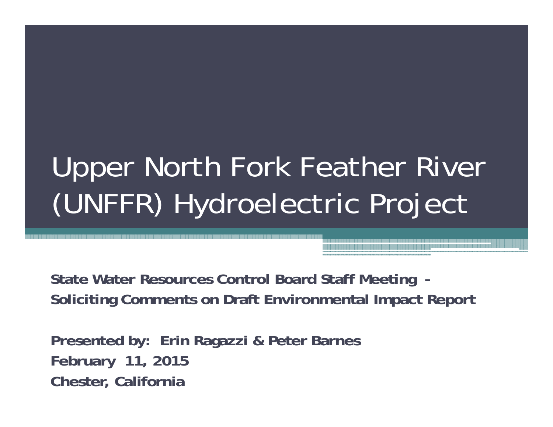# Upper North Fork Feather River (UNFFR) Hydroelectric Project

**State Water Resources Control Board Staff Meeting - Soliciting Comments on Draft Environmental Impact Report** 

**Presented by: Erin Ragazzi & Peter Barnes February 11, 2015 Chester, California**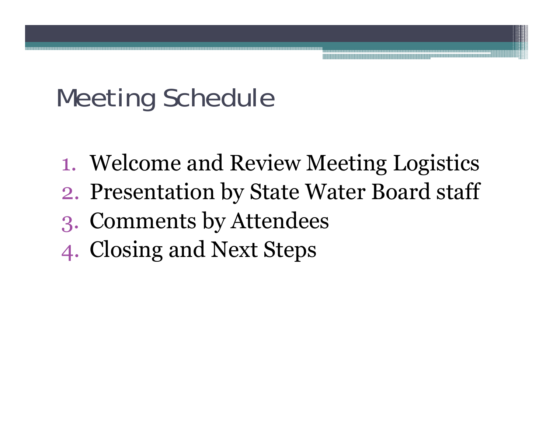#### Meeting Schedule

- 1. Welcome and Review Meeting Logistics
- 2. Presentation by State Water Board staff
- 3. Comments by Attendees
- 4. Closing and Next Steps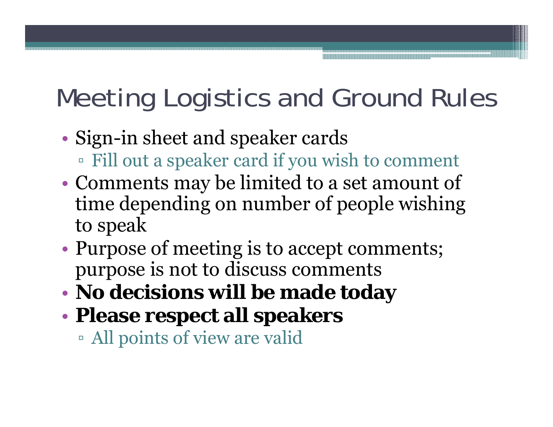# Meeting Logistics and Ground Rules

- • Sign-in sheet and speaker cards
	- Fill out a speaker card if you wish to comment
- • Comments may be limited to a set amount of time depending on number of people wishing to speak
- • Purpose of meeting is to accept comments; purpose is not to discuss comments
- •**No decisions will be made today**
- • **Please respect all speakers**
	- All points of view are valid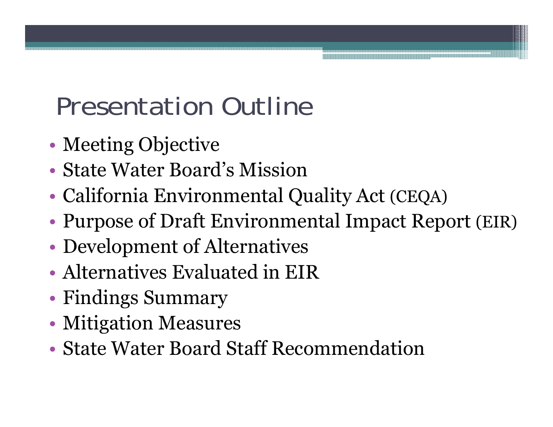#### Presentation Outline

- •Meeting Objective
- State Water Board's Mission
- •California Environmental Quality Act (CEQA)
- •Purpose of Draft Environmental Impact Report (EIR)
- •Development of Alternatives
- Alternatives Evaluated in EIR
- •Findings Summary
- •Mitigation Measures
- State Water Board Staff Recommendation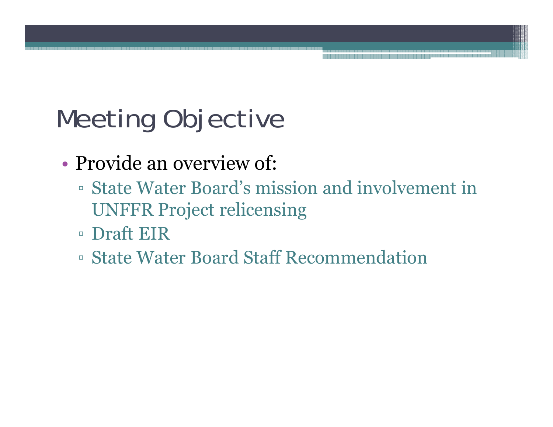# Meeting Objective

- Provide an overview of:
	- State Water Board's mission and involvement in UNFFR Project relicensing
	- Draft EIR
	- State Water Board Staff Recommendation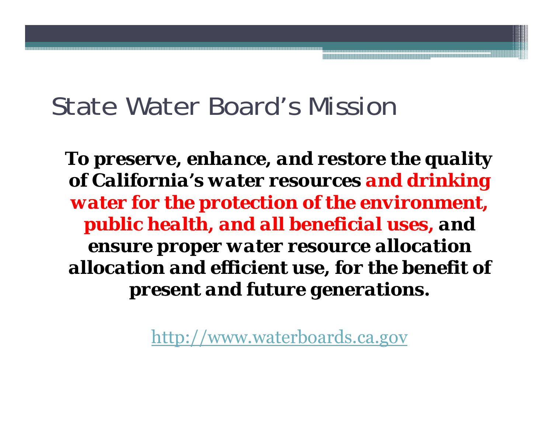#### State Water Board's Mission

*To preserve, enhance, and restore the quality of California's water resources and drinking water for the protection of the environment, public health, and all beneficial uses, and ensure proper water resource allocation allocation and efficient use, for the benefit of present and future generations.*

http://www.waterboards.ca.gov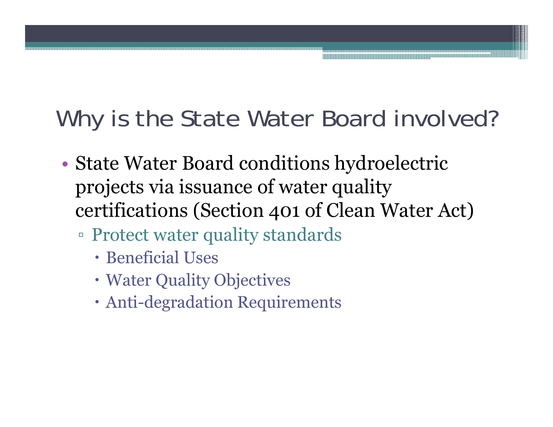#### Why is the State Water Board involved?

- • State Water Board conditions hydroelectric projects via issuance of water quality certifications (Section 401 of Clean Water Act)
	- Protect water quality standards
		- Beneficial Uses
		- Water Quality Objectives
		- Anti-degradation Requirements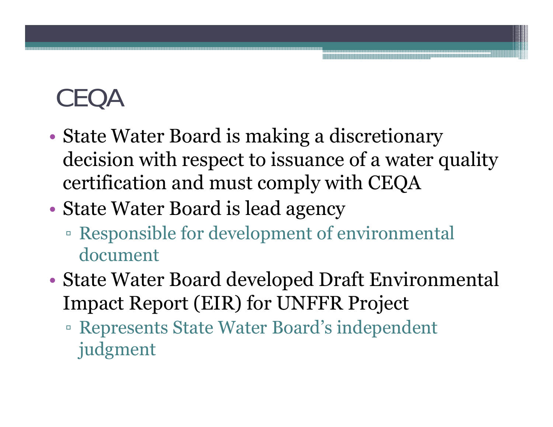## CEQA

- • State Water Board is making a discretionary decision with respect to issuance of a water quality certification and must comply with CEQA
- • State Water Board is lead agency
	- Responsible for development of environmental document
- • State Water Board developed Draft Environmental Impact Report (EIR) for UNFFR Project
	- Represents State Water Board's independent judgment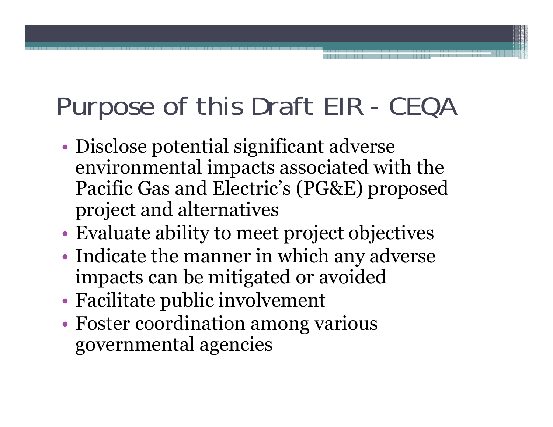# Purpose of this Draft EIR - CEQA

- • Disclose potential significant adverse environmental impacts associated with the Pacific Gas and Electric's (PG&E) proposed project and alternatives
- •Evaluate ability to meet project objectives
- •• Indicate the manner in which any adverse impacts can be mitigated or avoided
- •Facilitate public involvement
- • Foster coordination among various governmental agencies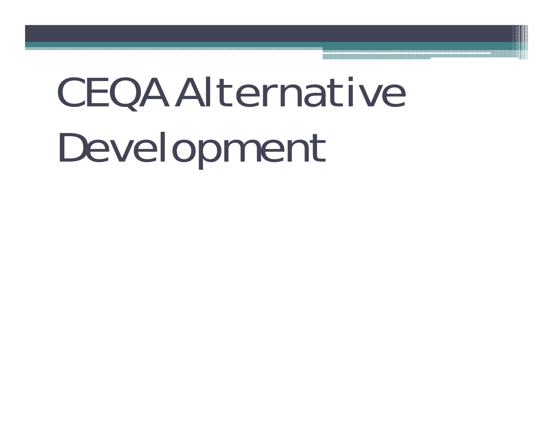# CEQA Alternative Development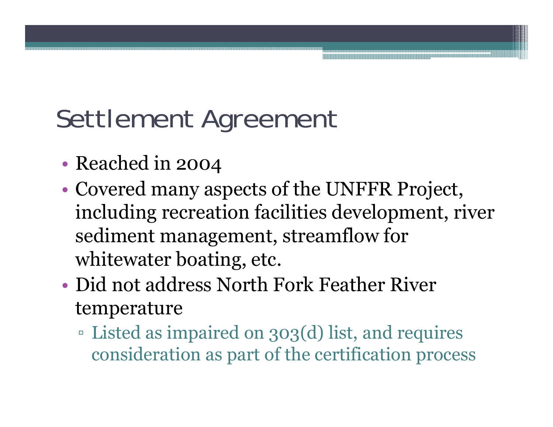# Settlement Agreement

- •• Reached in 2004
- • Covered many aspects of the UNFFR Project, including recreation facilities development, river sediment management, streamflow for whitewater boating, etc.
- Did not address North Fork Feather River temperature
	- Listed as impaired on 303(d) list, and requires consideration as part of the certification process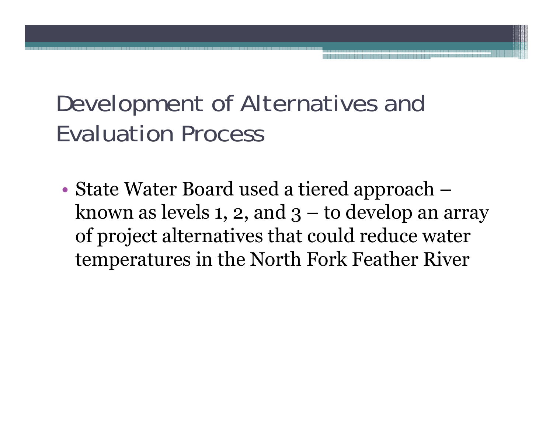#### Development of Alternatives and Evaluation Process

• State Water Board used a tiered approach – known as levels 1, 2, and  $3-$  to develop an array of project alternatives that could reduce water temperatures in the North Fork Feather River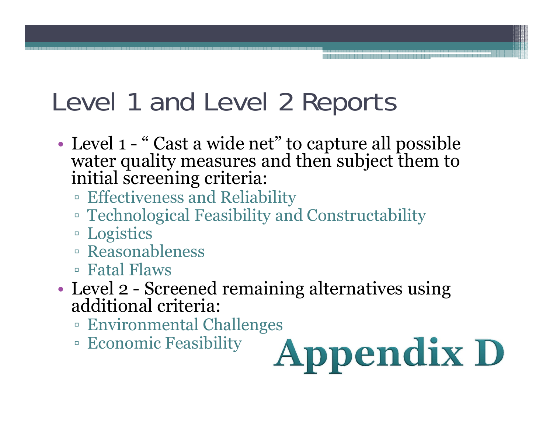#### Level 1 and Level 2 Reports

- Level 1 "Cast a wide net" to capture all possible water quality measures and then subject them to initial screening criteria:
	- Effectiveness and Reliability
	- Technological Feasibility and Constructability
	- Logistics
	- Reasonableness
	- Fatal Flaws
- • Level 2 - Screened remaining alternatives using additional criteria:
	- Environmental Challenges
	- Economic Feasibility

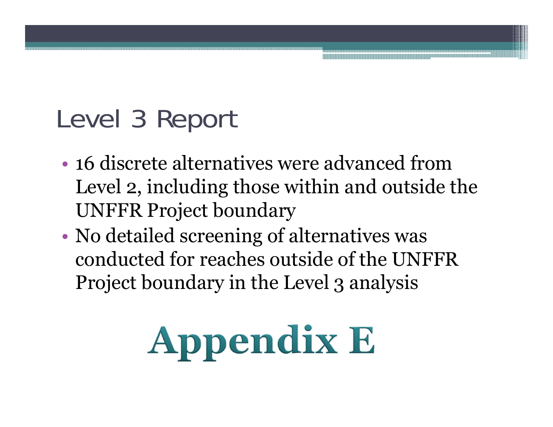### Level 3 Report

- 16 discrete alternatives were advanced from Level 2, including those within and outside the UNFFR Project boundary
- • No detailed screening of alternatives was conducted for reaches outside of the UNFFR Project boundary in the Level 3 analysis

# **Appendix E**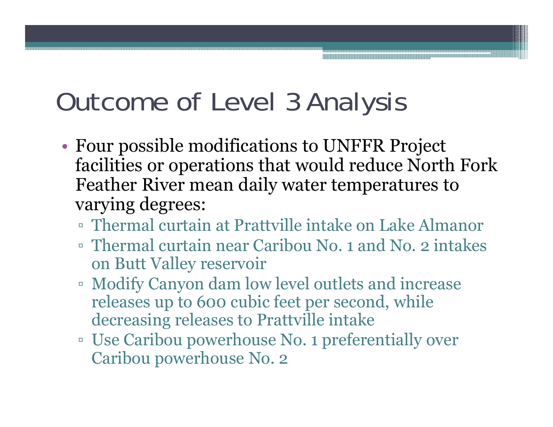#### Outcome of Level 3 Analysis

- • Four possible modifications to UNFFR Project facilities or operations that would reduce North Fork Feather River mean daily water temperatures to varying degrees:
	- Thermal curtain at Prattville intake on Lake Almanor
	- Thermal curtain near Caribou No. 1 and No. 2 intakes on Butt Valley reservoir
	- Modify Canyon dam low level outlets and increase releases up to 600 cubic feet per second, while decreasing releases to Prattville intake
	- Use Caribou powerhouse No. 1 preferentially over Caribou powerhouse No. 2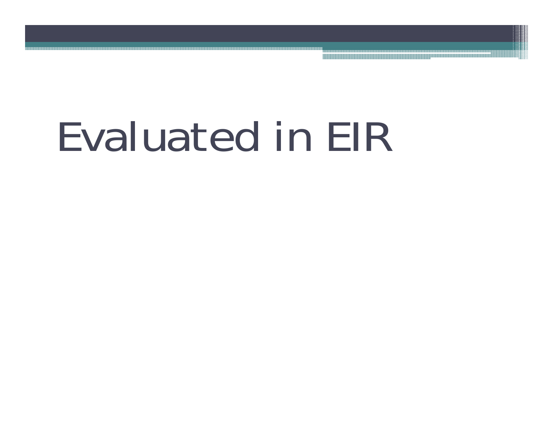# Evaluated in EIR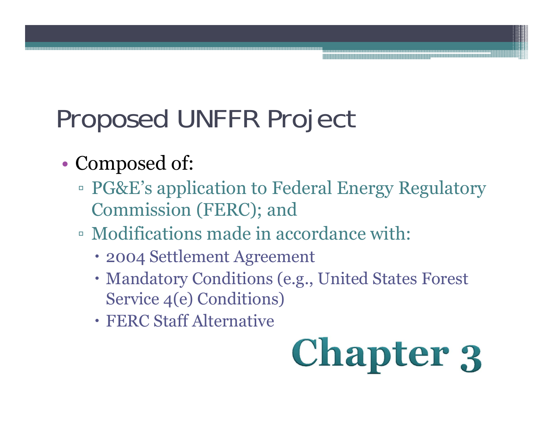# Proposed UNFFR Project

- •• Composed of:
	- PG&E's application to Federal Energy Regulatory Commission (FERC); and
	- Modifications made in accordance with:
		- 2004 Settlement Agreement
		- Mandatory Conditions (e.g., United States Forest Service 4(e) Conditions)
		- FERC Staff Alternative

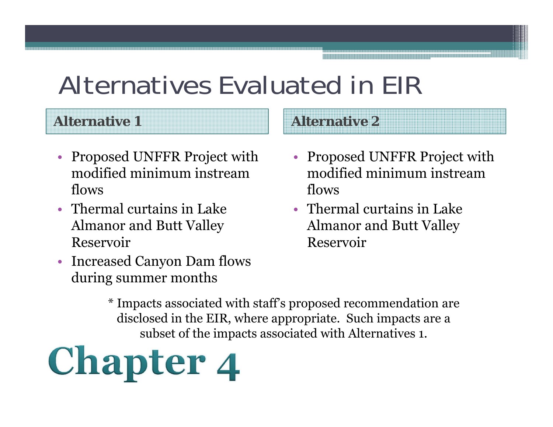#### Alternatives Evaluated in EIR

#### **Alternative 1**

- Proposed UNFFR Project with modified minimum instream flows
- Thermal curtains in Lake Almanor and Butt Valley Reservoir
- Increased Canyon Dam flows during summer months
- Proposed UNFFR Project with modified minimum instream flows
- Thermal curtains in Lake Almanor and Butt Valley Reservoir

**Alternative 2**

\* Impacts associated with staff's proposed recommendation are disclosed in the EIR, where appropriate. Such impacts are a subset of the impacts associated with Alternatives 1.

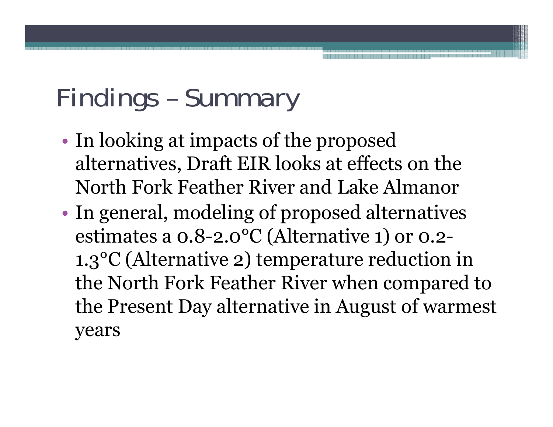## Findings – Summary

- •• In looking at impacts of the proposed alternatives, Draft EIR looks at effects on the North Fork Feather River and Lake Almanor
- • In general, modeling of proposed alternatives estimates a 0.8-2.0°C (Alternative 1) or 0.2- 1.3°C (Alternative 2) temperature reduction in the North Fork Feather River when compared to the Present Day alternative in August of warmest years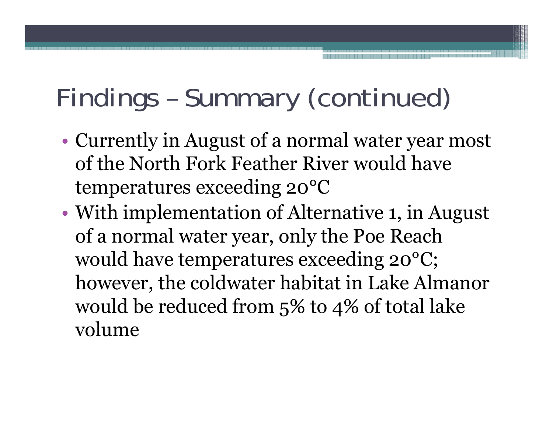## Findings – Summary (continued)

- • Currently in August of a normal water year most of the North Fork Feather River would have temperatures exceeding 20°C
- • With implementation of Alternative 1, in August of a normal water year, only the Poe Reach would have temperatures exceeding 20°C; however, the coldwater habitat in Lake Almanor would be reduced from 5% to 4% of total lake volume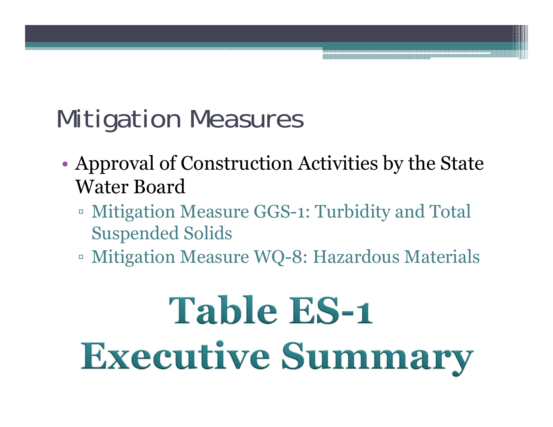# Mitigation Measures

- • Approval of Construction Activities by the State Water Board
	- Mitigation Measure GGS-1: Turbidity and Total Suspended Solids
	- Mitigation Measure WQ-8: Hazardous Materials

# **Table ES-1 Executive Summary**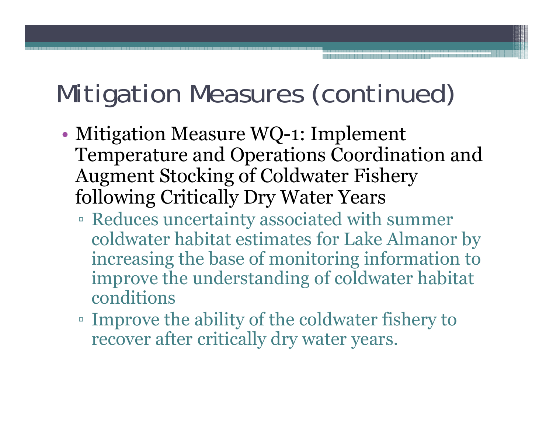## Mitigation Measures (continued)

- • Mitigation Measure WQ-1: Implement Temperature and Operations Coordination and Augment Stocking of Coldwater Fishery following Critically Dry Water Years
	- Reduces uncertainty associated with summer coldwater habitat estimates for Lake Almanor by increasing the base of monitoring information to improve the understanding of coldwater habitat conditions
	- Improve the ability of the coldwater fishery to recover after critically dry water years.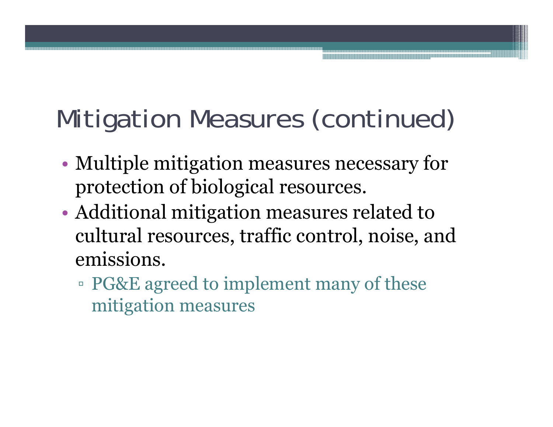# Mitigation Measures (continued)

- • Multiple mitigation measures necessary for protection of biological resources.
- • Additional mitigation measures related to cultural resources, traffic control, noise, and emissions.
	- PG&E agreed to implement many of these mitigation measures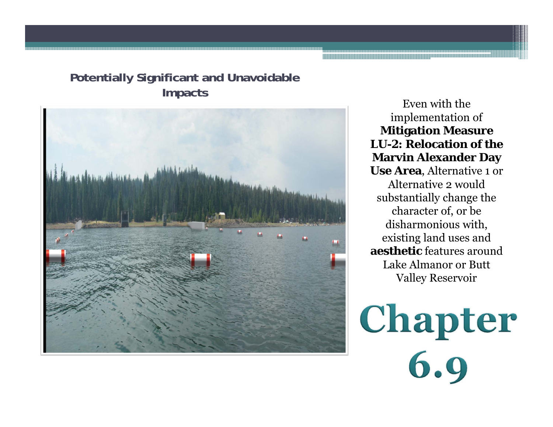#### **Potentially Significant and Unavoidable Impacts** Even with the



implementation of **Mitigation Measure LU-2: Relocation of the Marvin Alexander Day Use Area**, Alternative 1 or Alternative 2 would substantially change the character of, or be disharmonious with, existing land uses and **aesthetic** features around Lake Almanor or Butt Valley Reservoir

Chapter<br>6.9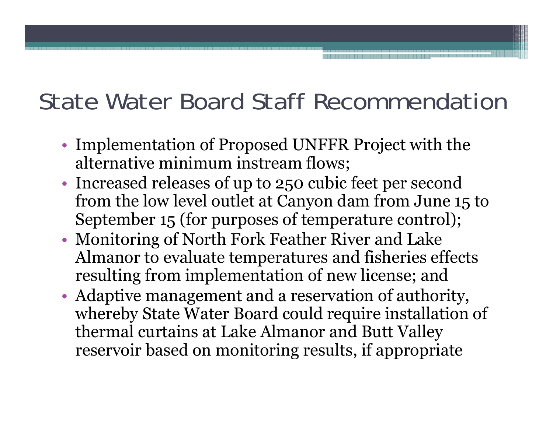#### State Water Board Staff Recommendation

- •• Implementation of Proposed UNFFR Project with the alternative minimum instream flows;
- •• Increased releases of up to 250 cubic feet per second from the low level outlet at Canyon dam from June 15 to September 15 (for purposes of temperature control);
- • Monitoring of North Fork Feather River and Lake Almanor to evaluate temperatures and fisheries effects resulting from implementation of new license; and
- • Adaptive management and a reservation of authority, whereby State Water Board could require installation of thermal curtains at Lake Almanor and Butt Valley reservoir based on monitoring results, if appropriate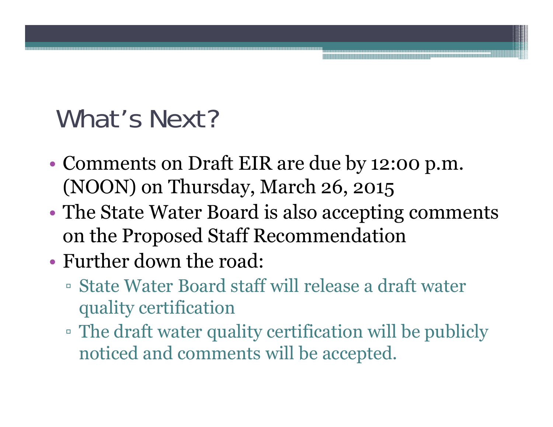#### What's Next?

- • Comments on Draft EIR are due by 12:00 p.m. (NOON) on Thursday, March 26, 2015
- • The State Water Board is also accepting comments on the Proposed Staff Recommendation
- Further down the road:
	- State Water Board staff will release a draft water quality certification
	- The draft water quality certification will be publicly noticed and comments will be accepted.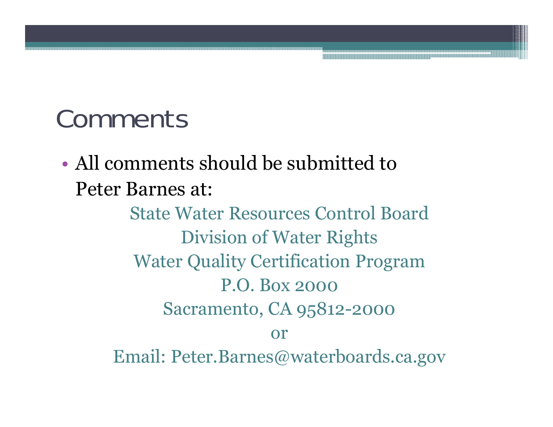#### Comments

• All comments should be submitted to Peter Barnes at:

> State Water Resources Control BoardDivision of Water Rights Water Quality Certification Program P.O. Box 2000Sacramento, CA 95812-2000 orEmail: Peter.Barnes@waterboards.ca.gov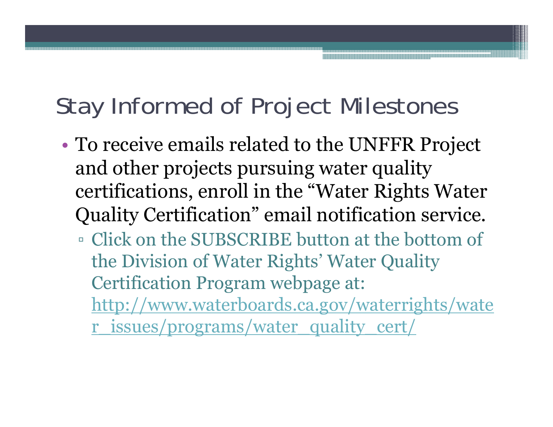#### Stay Informed of Project Milestones

- • To receive emails related to the UNFFR Project and other projects pursuing water quality certifications, enroll in the "Water Rights Water Quality Certification" email notification service.
	- Click on the SUBSCRIBE button at the bottom of the Division of Water Rights' Water Quality Certification Program webpage at: http://www.waterboards.ca.gov/waterrights/wate r\_issues/programs/water\_quality\_cert/